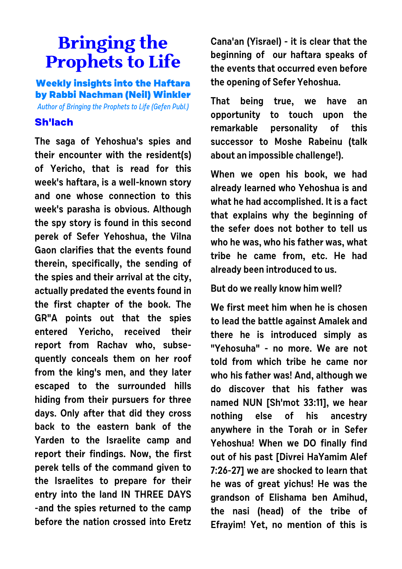## **Bringing the Prophets to Life**

**Weekly insights into the Haftara by Rabbi Nachman (Neil) Winkler**

Author of Bringing the Prophets to Life (Gefen Publ.)

## **Sh'lach**

**The saga of Yehoshua's spies and their encounter with the resident(s) of Yericho, that is read for this week's haftara, is a well-known story and one whose connection to this week's parasha is obvious. Although the spy story is found in this second perek of Sefer Yehoshua, the Vilna Gaon clarifies that the events found therein, specifically, the sending of the spies and their arrival at the city, actually predated the events found in the first chapter of the book. The GR"A points out that the spies entered Yericho, received their report from Rachav who, subsequently conceals them on her roof from the king's men, and they later escaped to the surrounded hills hiding from their pursuers for three days. Only after that did they cross back to the eastern bank of the Yarden to the Israelite camp and report their findings. Now, the first perek tells of the command given to the Israelites to prepare for their entry into the land IN THREE DAYS -and the spies returned to the camp before the nation crossed into Eretz** **Cana'an (Yisrael) - it is clear that the beginning of our haftara speaks of the events that occurred even before the opening of Sefer Yehoshua.**

**That being true, we have an opportunity to touch upon the remarkable personality of this successor to Moshe Rabeinu (talk about an impossible challenge!).**

**When we open his book, we had already learned who Yehoshua is and what he had accomplished. It is a fact that explains why the beginning of the sefer does not bother to tell us who he was, who his father was, what tribe he came from, etc. He had already been introduced to us.** 

**But do we really know him well?**

**We first meet him when he is chosen to lead the battle against Amalek and there he is introduced simply as "Yehosuha" - no more. We are not told from which tribe he came nor who his father was! And, although we do discover that his father was named NUN [Sh'mot 33:11], we hear nothing else of his ancestry anywhere in the Torah or in Sefer Yehoshua! When we DO finally find out of his past [Divrei HaYamim Alef 7:26-27] we are shocked to learn that he was of great yichus! He was the grandson of Elishama ben Amihud, the nasi (head) of the tribe of Efrayim! Yet, no mention of this is**